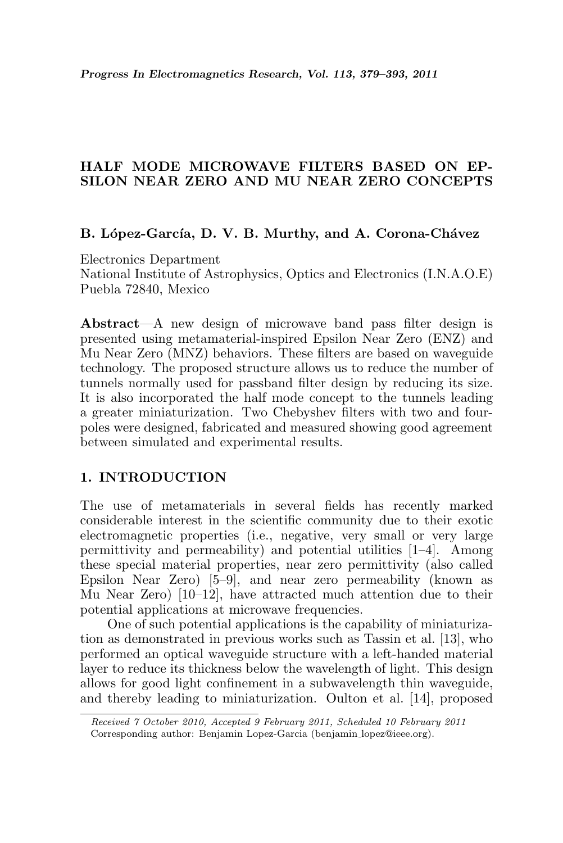# HALF MODE MICROWAVE FILTERS BASED ON EP-SILON NEAR ZERO AND MU NEAR ZERO CONCEPTS

### B. López-García, D. V. B. Murthy, and A. Corona-Chávez

Electronics Department National Institute of Astrophysics, Optics and Electronics (I.N.A.O.E) Puebla 72840, Mexico

Abstract—A new design of microwave band pass filter design is presented using metamaterial-inspired Epsilon Near Zero (ENZ) and Mu Near Zero (MNZ) behaviors. These filters are based on waveguide technology. The proposed structure allows us to reduce the number of tunnels normally used for passband filter design by reducing its size. It is also incorporated the half mode concept to the tunnels leading a greater miniaturization. Two Chebyshev filters with two and fourpoles were designed, fabricated and measured showing good agreement between simulated and experimental results.

## 1. INTRODUCTION

The use of metamaterials in several fields has recently marked considerable interest in the scientific community due to their exotic electromagnetic properties (i.e., negative, very small or very large permittivity and permeability) and potential utilities [1–4]. Among these special material properties, near zero permittivity (also called Epsilon Near Zero) [5–9], and near zero permeability (known as Mu Near Zero) [10–12], have attracted much attention due to their potential applications at microwave frequencies.

One of such potential applications is the capability of miniaturization as demonstrated in previous works such as Tassin et al. [13], who performed an optical waveguide structure with a left-handed material layer to reduce its thickness below the wavelength of light. This design allows for good light confinement in a subwavelength thin waveguide, and thereby leading to miniaturization. Oulton et al. [14], proposed

Received 7 October 2010, Accepted 9 February 2011, Scheduled 10 February 2011 Corresponding author: Benjamin Lopez-Garcia (benjamin lopez@ieee.org).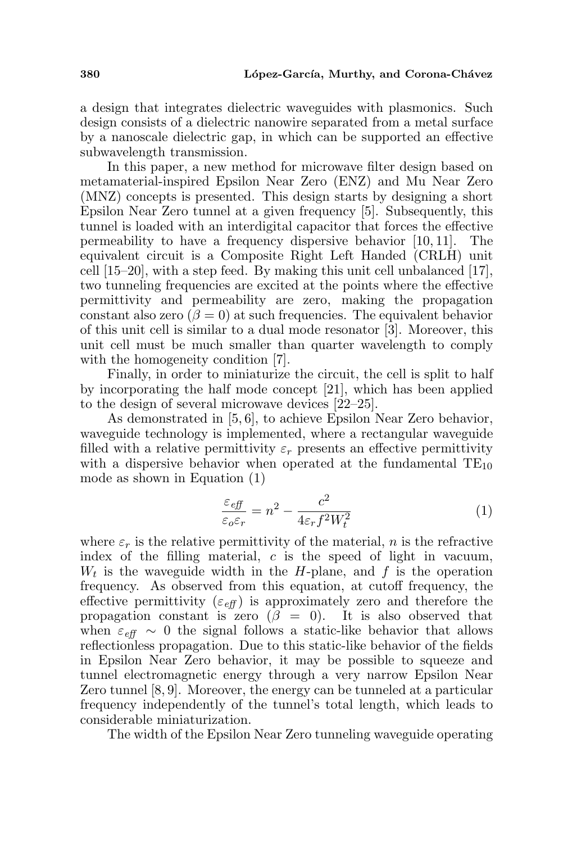a design that integrates dielectric waveguides with plasmonics. Such design consists of a dielectric nanowire separated from a metal surface by a nanoscale dielectric gap, in which can be supported an effective subwavelength transmission.

In this paper, a new method for microwave filter design based on metamaterial-inspired Epsilon Near Zero (ENZ) and Mu Near Zero (MNZ) concepts is presented. This design starts by designing a short Epsilon Near Zero tunnel at a given frequency [5]. Subsequently, this tunnel is loaded with an interdigital capacitor that forces the effective permeability to have a frequency dispersive behavior [10, 11]. The equivalent circuit is a Composite Right Left Handed (CRLH) unit cell  $[15–20]$ , with a step feed. By making this unit cell unbalanced  $[17]$ , two tunneling frequencies are excited at the points where the effective permittivity and permeability are zero, making the propagation constant also zero  $(\beta = 0)$  at such frequencies. The equivalent behavior of this unit cell is similar to a dual mode resonator [3]. Moreover, this unit cell must be much smaller than quarter wavelength to comply with the homogeneity condition [7].

Finally, in order to miniaturize the circuit, the cell is split to half by incorporating the half mode concept [21], which has been applied to the design of several microwave devices [22–25].

As demonstrated in [5, 6], to achieve Epsilon Near Zero behavior, waveguide technology is implemented, where a rectangular waveguide filled with a relative permittivity  $\varepsilon_r$  presents an effective permittivity with a dispersive behavior when operated at the fundamental  $TE_{10}$ mode as shown in Equation (1)

$$
\frac{\varepsilon_{\text{eff}}}{\varepsilon_{o}\varepsilon_{r}} = n^2 - \frac{c^2}{4\varepsilon_r f^2 W_t^2} \tag{1}
$$

where  $\varepsilon_r$  is the relative permittivity of the material, n is the refractive index of the filling material,  $c$  is the speed of light in vacuum,  $W_t$  is the waveguide width in the H-plane, and f is the operation frequency. As observed from this equation, at cutoff frequency, the effective permittivity  $(\varepsilon_{\text{eff}})$  is approximately zero and therefore the propagation constant is zero  $(\beta = 0)$ . It is also observed that when  $\varepsilon_{\text{eff}} \sim 0$  the signal follows a static-like behavior that allows reflectionless propagation. Due to this static-like behavior of the fields in Epsilon Near Zero behavior, it may be possible to squeeze and tunnel electromagnetic energy through a very narrow Epsilon Near Zero tunnel [8, 9]. Moreover, the energy can be tunneled at a particular frequency independently of the tunnel's total length, which leads to considerable miniaturization.

The width of the Epsilon Near Zero tunneling waveguide operating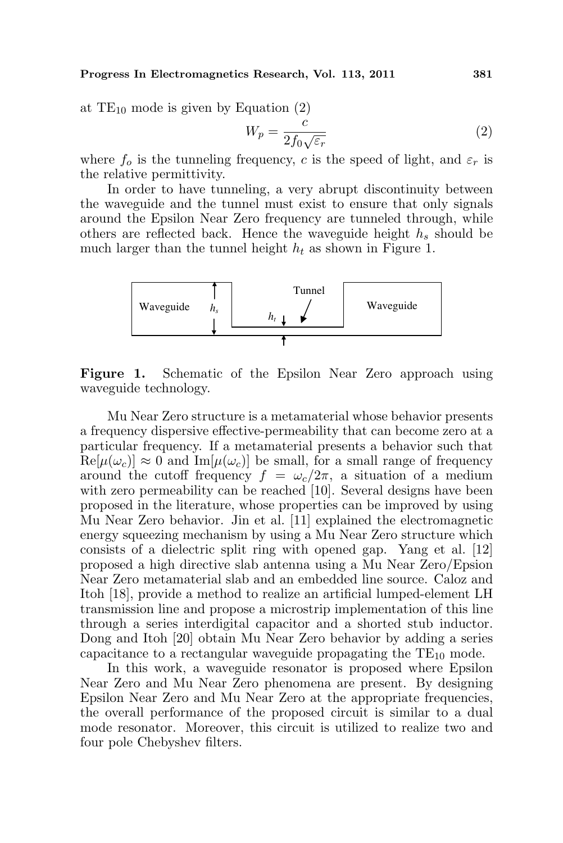at  $TE_{10}$  mode is given by Equation (2)

$$
W_p = \frac{c}{2f_0\sqrt{\varepsilon_r}}\tag{2}
$$

where  $f_o$  is the tunneling frequency, c is the speed of light, and  $\varepsilon_r$  is the relative permittivity.

In order to have tunneling, a very abrupt discontinuity between the waveguide and the tunnel must exist to ensure that only signals around the Epsilon Near Zero frequency are tunneled through, while others are reflected back. Hence the waveguide height  $h_s$  should be much larger than the tunnel height  $h_t$  as shown in Figure 1.



Figure 1. Schematic of the Epsilon Near Zero approach using waveguide technology.

Mu Near Zero structure is a metamaterial whose behavior presents a frequency dispersive effective-permeability that can become zero at a particular frequency. If a metamaterial presents a behavior such that  $\text{Re}[\mu(\omega_c)] \approx 0$  and  $\text{Im}[\mu(\omega_c)]$  be small, for a small range of frequency around the cutoff frequency  $f = \omega_c/2\pi$ , a situation of a medium with zero permeability can be reached [10]. Several designs have been proposed in the literature, whose properties can be improved by using Mu Near Zero behavior. Jin et al. [11] explained the electromagnetic energy squeezing mechanism by using a Mu Near Zero structure which consists of a dielectric split ring with opened gap. Yang et al. [12] proposed a high directive slab antenna using a Mu Near Zero/Epsion Near Zero metamaterial slab and an embedded line source. Caloz and Itoh [18], provide a method to realize an artificial lumped-element LH transmission line and propose a microstrip implementation of this line through a series interdigital capacitor and a shorted stub inductor. Dong and Itoh [20] obtain Mu Near Zero behavior by adding a series capacitance to a rectangular waveguide propagating the  $TE_{10}$  mode.

In this work, a waveguide resonator is proposed where Epsilon Near Zero and Mu Near Zero phenomena are present. By designing Epsilon Near Zero and Mu Near Zero at the appropriate frequencies, the overall performance of the proposed circuit is similar to a dual mode resonator. Moreover, this circuit is utilized to realize two and four pole Chebyshev filters.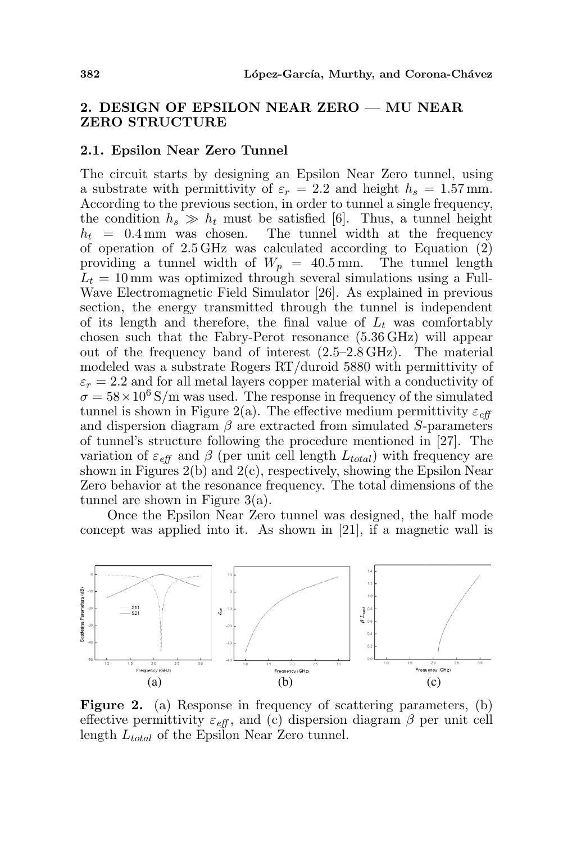# 2. DESIGN OF EPSILON NEAR ZERO — MU NEAR ZERO STRUCTURE

#### 2.1. Epsilon Near Zero Tunnel

The circuit starts by designing an Epsilon Near Zero tunnel, using a substrate with permittivity of  $\varepsilon_r = 2.2$  and height  $h_s = 1.57$  mm. According to the previous section, in order to tunnel a single frequency, the condition  $h_s \gg h_t$  must be satisfied [6]. Thus, a tunnel height  $h_t = 0.4$  mm was chosen. The tunnel width at the frequency of operation of 2.5 GHz was calculated according to Equation (2) providing a tunnel width of  $W_p = 40.5$  mm. The tunnel length  $L_t = 10 \,\text{mm}$  was optimized through several simulations using a Full-Wave Electromagnetic Field Simulator [26]. As explained in previous section, the energy transmitted through the tunnel is independent of its length and therefore, the final value of  $L_t$  was comfortably chosen such that the Fabry-Perot resonance (5.36 GHz) will appear out of the frequency band of interest (2.5–2.8 GHz). The material modeled was a substrate Rogers RT/duroid 5880 with permittivity of  $\varepsilon_r = 2.2$  and for all metal layers copper material with a conductivity of  $\sigma = 58 \times 10^6$  S/m was used. The response in frequency of the simulated tunnel is shown in Figure 2(a). The effective medium permittivity  $\varepsilon_{\text{eff}}$ and dispersion diagram  $\beta$  are extracted from simulated S-parameters of tunnel's structure following the procedure mentioned in [27]. The variation of  $\varepsilon_{\text{eff}}$  and  $\beta$  (per unit cell length  $L_{total}$ ) with frequency are shown in Figures  $2(b)$  and  $2(c)$ , respectively, showing the Epsilon Near Zero behavior at the resonance frequency. The total dimensions of the tunnel are shown in Figure 3(a).

Once the Epsilon Near Zero tunnel was designed, the half mode concept was applied into it. As shown in [21], if a magnetic wall is



Figure 2. (a) Response in frequency of scattering parameters, (b) effective permittivity  $\varepsilon_{\text{eff}}$ , and (c) dispersion diagram  $\beta$  per unit cell length  $L_{total}$  of the Epsilon Near Zero tunnel.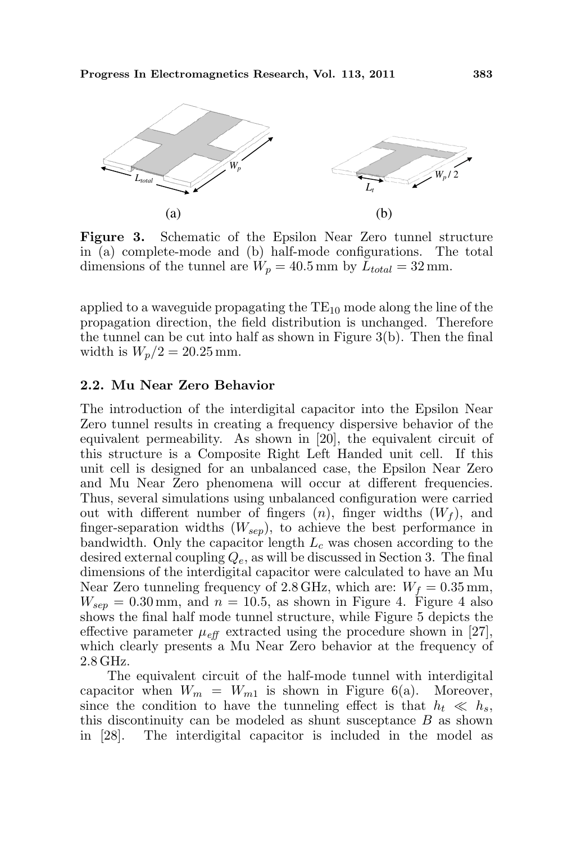

Figure 3. Schematic of the Epsilon Near Zero tunnel structure in (a) complete-mode and (b) half-mode configurations. The total dimensions of the tunnel are  $W_p = 40.5$  mm by  $L_{total} = 32$  mm.

applied to a waveguide propagating the  $TE_{10}$  mode along the line of the propagation direction, the field distribution is unchanged. Therefore the tunnel can be cut into half as shown in Figure 3(b). Then the final width is  $W_p/2 = 20.25$  mm.

### 2.2. Mu Near Zero Behavior

The introduction of the interdigital capacitor into the Epsilon Near Zero tunnel results in creating a frequency dispersive behavior of the equivalent permeability. As shown in [20], the equivalent circuit of this structure is a Composite Right Left Handed unit cell. If this unit cell is designed for an unbalanced case, the Epsilon Near Zero and Mu Near Zero phenomena will occur at different frequencies. Thus, several simulations using unbalanced configuration were carried out with different number of fingers  $(n)$ , finger widths  $(W_f)$ , and finger-separation widths  $(W_{sep})$ , to achieve the best performance in bandwidth. Only the capacitor length  $L_c$  was chosen according to the desired external coupling  $Q_e$ , as will be discussed in Section 3. The final dimensions of the interdigital capacitor were calculated to have an Mu Near Zero tunneling frequency of 2.8 GHz, which are:  $W_f = 0.35$  mm,  $W_{sen} = 0.30$  mm, and  $n = 10.5$ , as shown in Figure 4. Figure 4 also shows the final half mode tunnel structure, while Figure 5 depicts the effective parameter  $\mu_{\text{eff}}$  extracted using the procedure shown in [27], which clearly presents a Mu Near Zero behavior at the frequency of 2.8 GHz.

The equivalent circuit of the half-mode tunnel with interdigital capacitor when  $W_m = W_{m1}$  is shown in Figure 6(a). Moreover, since the condition to have the tunneling effect is that  $h_t \ll h_s$ , this discontinuity can be modeled as shunt susceptance  $B$  as shown in [28]. The interdigital capacitor is included in the model as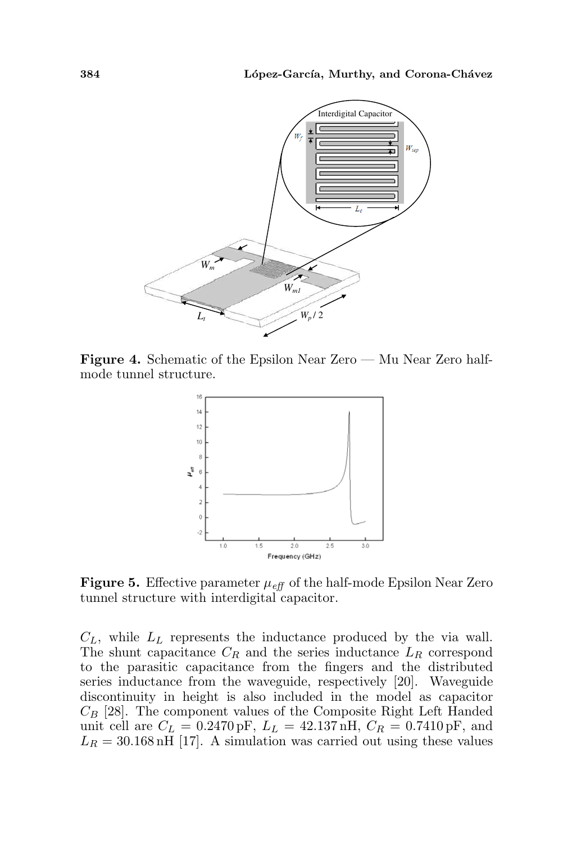

Figure 4. Schematic of the Epsilon Near Zero — Mu Near Zero halfmode tunnel structure.



**Figure 5.** Effective parameter  $\mu_{\text{eff}}$  of the half-mode Epsilon Near Zero tunnel structure with interdigital capacitor.

 $C_L$ , while  $L_L$  represents the inductance produced by the via wall. The shunt capacitance  $C_R$  and the series inductance  $L_R$  correspond to the parasitic capacitance from the fingers and the distributed series inductance from the waveguide, respectively [20]. Waveguide discontinuity in height is also included in the model as capacitor  $C_B$  [28]. The component values of the Composite Right Left Handed unit cell are  $C_L = 0.2470 \,\text{pF}$ ,  $L_L = 42.137 \,\text{nH}$ ,  $C_R = 0.7410 \,\text{pF}$ , and  $L_R = 30.168$  nH [17]. A simulation was carried out using these values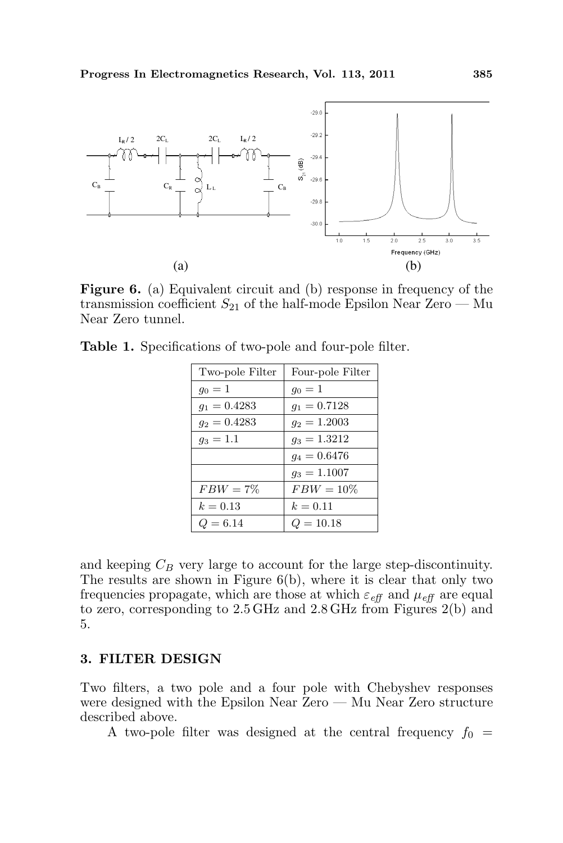

Figure 6. (a) Equivalent circuit and (b) response in frequency of the transmission coefficient  $S_{21}$  of the half-mode Epsilon Near Zero — Mu Near Zero tunnel.

|  | Table 1. Specifications of two-pole and four-pole filter. |  |  |  |  |
|--|-----------------------------------------------------------|--|--|--|--|
|--|-----------------------------------------------------------|--|--|--|--|

| Two-pole Filter | Four-pole Filter |  |  |
|-----------------|------------------|--|--|
| $g_0 = 1$       | $g_0 = 1$        |  |  |
| $q_1 = 0.4283$  | $g_1 = 0.7128$   |  |  |
| $g_2 = 0.4283$  | $g_2 = 1.2003$   |  |  |
| $g_3 = 1.1$     | $g_3 = 1.3212$   |  |  |
|                 | $q_4 = 0.6476$   |  |  |
|                 | $g_3 = 1.1007$   |  |  |
| $FBW = 7\%$     | $FBW = 10\%$     |  |  |
| $k = 0.13$      | $k = 0.11$       |  |  |
| $Q = 6.14$      | $Q = 10.18$      |  |  |

and keeping  $C_B$  very large to account for the large step-discontinuity. The results are shown in Figure 6(b), where it is clear that only two frequencies propagate, which are those at which  $\varepsilon_{\text{eff}}$  and  $\mu_{\text{eff}}$  are equal to zero, corresponding to 2.5 GHz and 2.8 GHz from Figures 2(b) and 5.

### 3. FILTER DESIGN

Two filters, a two pole and a four pole with Chebyshev responses were designed with the Epsilon Near Zero — Mu Near Zero structure described above.

A two-pole filter was designed at the central frequency  $f_0 =$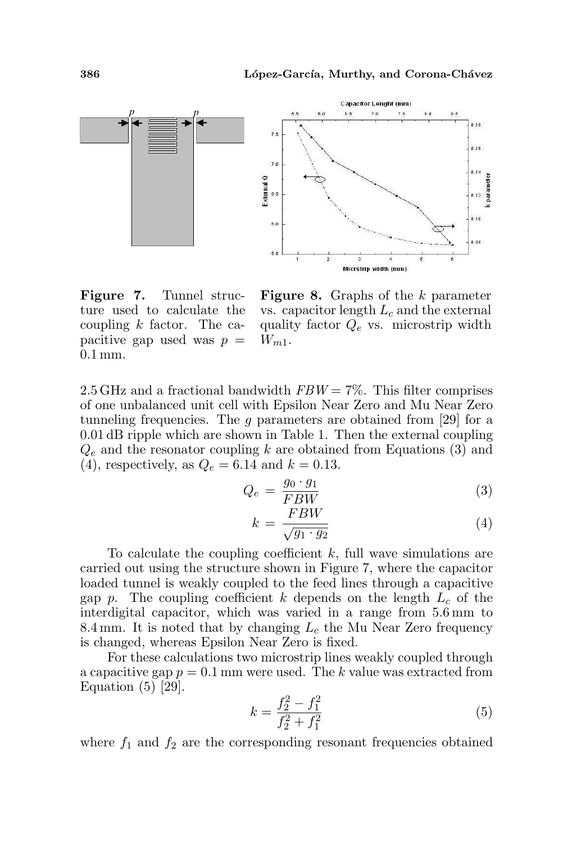

Figure 7. Tunnel structure used to calculate the coupling  $k$  factor. The capacitive gap used was  $p =$ 0.1 mm.

**Figure 8.** Graphs of the  $k$  parameter vs. capacitor length  $L_c$  and the external quality factor  $Q_e$  vs. microstrip width  $W_{m1}$ .

2.5 GHz and a fractional bandwidth  $FBW = 7\%$ . This filter comprises of one unbalanced unit cell with Epsilon Near Zero and Mu Near Zero tunneling frequencies. The  $g$  parameters are obtained from [29] for a 0.01 dB ripple which are shown in Table 1. Then the external coupling  $Q_e$  and the resonator coupling k are obtained from Equations (3) and (4), respectively, as  $Q_e = 6.14$  and  $k = 0.13$ .

$$
Q_e = \frac{g_0 \cdot g_1}{FBW} \tag{3}
$$

$$
k = \frac{FBW}{\sqrt{g_1 \cdot g_2}}\tag{4}
$$

To calculate the coupling coefficient  $k$ , full wave simulations are carried out using the structure shown in Figure 7, where the capacitor loaded tunnel is weakly coupled to the feed lines through a capacitive gap p. The coupling coefficient k depends on the length  $L_c$  of the interdigital capacitor, which was varied in a range from 5.6 mm to 8.4 mm. It is noted that by changing  $L_c$  the Mu Near Zero frequency is changed, whereas Epsilon Near Zero is fixed.

For these calculations two microstrip lines weakly coupled through a capacitive gap  $p = 0.1$  mm were used. The k value was extracted from Equation  $(5)$  [29].

$$
k = \frac{f_2^2 - f_1^2}{f_2^2 + f_1^2} \tag{5}
$$

where  $f_1$  and  $f_2$  are the corresponding resonant frequencies obtained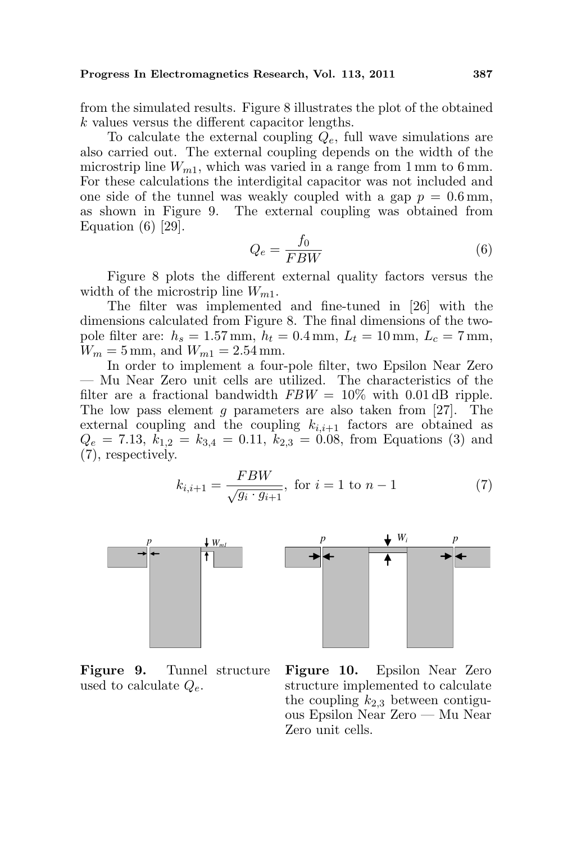from the simulated results. Figure 8 illustrates the plot of the obtained k values versus the different capacitor lengths.

To calculate the external coupling  $Q_e$ , full wave simulations are also carried out. The external coupling depends on the width of the microstrip line  $W_{m1}$ , which was varied in a range from 1 mm to 6 mm. For these calculations the interdigital capacitor was not included and one side of the tunnel was weakly coupled with a gap  $p = 0.6$  mm, as shown in Figure 9. The external coupling was obtained from Equation (6) [29].

$$
Q_e = \frac{f_0}{FBW} \tag{6}
$$

Figure 8 plots the different external quality factors versus the width of the microstrip line  $W_{m1}$ .

The filter was implemented and fine-tuned in [26] with the dimensions calculated from Figure 8. The final dimensions of the twopole filter are:  $h_s = 1.57 \,\text{mm}, h_t = 0.4 \,\text{mm}, L_t = 10 \,\text{mm}, L_c = 7 \,\text{mm},$  $W_m = 5$  mm, and  $W_{m1} = 2.54$  mm.

In order to implement a four-pole filter, two Epsilon Near Zero — Mu Near Zero unit cells are utilized. The characteristics of the filter are a fractional bandwidth  $FBW = 10\%$  with 0.01 dB ripple. The low pass element  $g$  parameters are also taken from [27]. The external coupling and the coupling  $k_{i,i+1}$  factors are obtained as  $Q_e = 7.13$ ,  $k_{1,2} = k_{3,4} = 0.11$ ,  $k_{2,3} = 0.08$ , from Equations (3) and (7), respectively.

$$
k_{i,i+1} = \frac{FBW}{\sqrt{g_i \cdot g_{i+1}}}, \text{ for } i = 1 \text{ to } n-1
$$
 (7)





Figure 9. Tunnel structure used to calculate  $Q_e$ .

Figure 10. Epsilon Near Zero structure implemented to calculate the coupling  $k_{2,3}$  between contiguous Epsilon Near Zero — Mu Near Zero unit cells.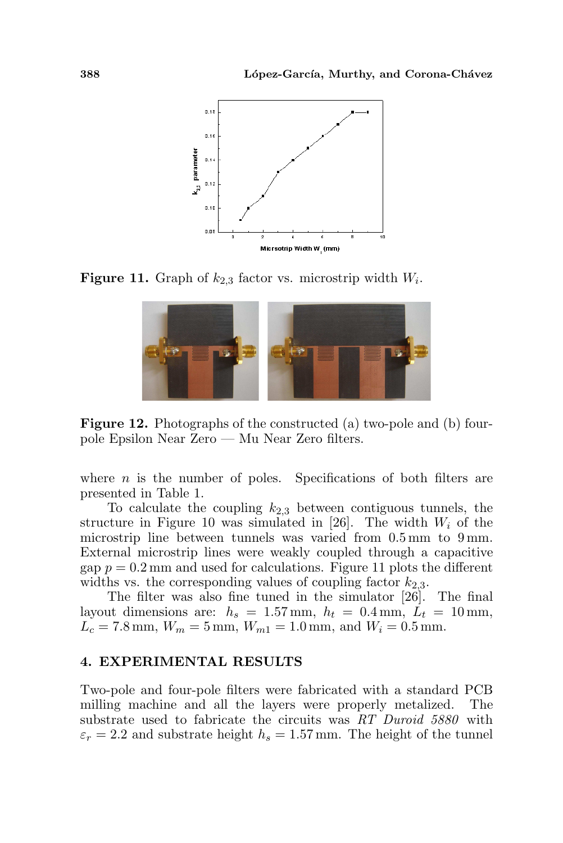

**Figure 11.** Graph of  $k_{2,3}$  factor vs. microstrip width  $W_i$ .



Figure 12. Photographs of the constructed (a) two-pole and (b) fourpole Epsilon Near Zero — Mu Near Zero filters.

where  $n$  is the number of poles. Specifications of both filters are presented in Table 1.

To calculate the coupling  $k_{2,3}$  between contiguous tunnels, the structure in Figure 10 was simulated in [26]. The width  $W_i$  of the microstrip line between tunnels was varied from 0.5 mm to 9 mm. External microstrip lines were weakly coupled through a capacitive gap  $p = 0.2$  mm and used for calculations. Figure 11 plots the different widths vs. the corresponding values of coupling factor  $k_{2,3}$ .

The filter was also fine tuned in the simulator [26]. The final layout dimensions are:  $h_s = 1.57$  mm,  $h_t = 0.4$  mm,  $\dot{L}_t = 10$  mm,  $L_c = 7.8 \text{ mm}, W_m = 5 \text{ mm}, W_{m1} = 1.0 \text{ mm}, \text{ and } W_i = 0.5 \text{ mm}.$ 

### 4. EXPERIMENTAL RESULTS

Two-pole and four-pole filters were fabricated with a standard PCB milling machine and all the layers were properly metalized. The substrate used to fabricate the circuits was RT Duroid 5880 with  $\varepsilon_r = 2.2$  and substrate height  $h_s = 1.57$  mm. The height of the tunnel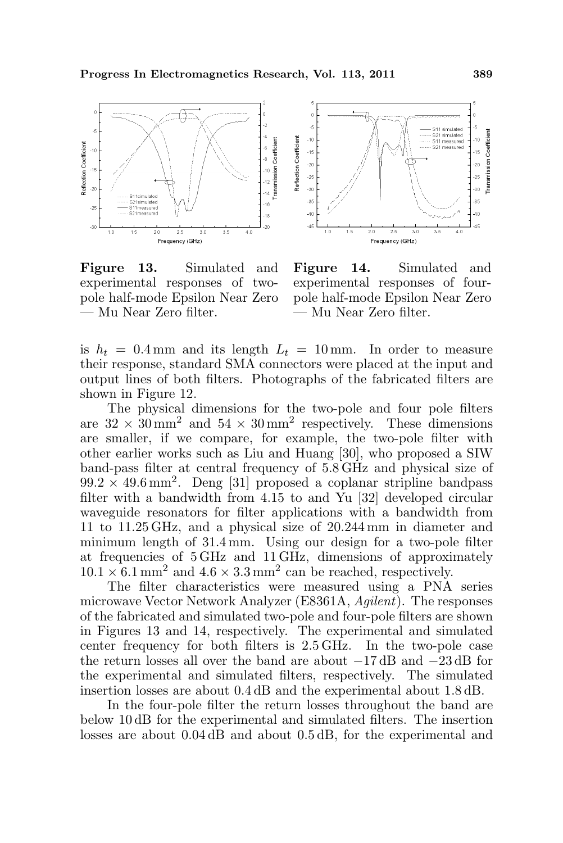

Figure 13. Simulated and experimental responses of twopole half-mode Epsilon Near Zero — Mu Near Zero filter.



Figure 14. Simulated and experimental responses of fourpole half-mode Epsilon Near Zero — Mu Near Zero filter.

is  $h_t = 0.4 \,\text{mm}$  and its length  $L_t = 10 \,\text{mm}$ . In order to measure their response, standard SMA connectors were placed at the input and output lines of both filters. Photographs of the fabricated filters are shown in Figure 12.

The physical dimensions for the two-pole and four pole filters are  $32 \times 30 \,\mathrm{mm}^2$  and  $54 \times 30 \,\mathrm{mm}^2$  respectively. These dimensions are smaller, if we compare, for example, the two-pole filter with other earlier works such as Liu and Huang [30], who proposed a SIW band-pass filter at central frequency of 5.8 GHz and physical size of  $99.2 \times 49.6 \,\mathrm{mm}^2$ . Deng [31] proposed a coplanar stripline bandpass filter with a bandwidth from 4.15 to and Yu [32] developed circular waveguide resonators for filter applications with a bandwidth from 11 to 11.25 GHz, and a physical size of 20.244 mm in diameter and minimum length of 31.4 mm. Using our design for a two-pole filter at frequencies of 5 GHz and 11 GHz, dimensions of approximately  $10.1 \times 6.1 \text{ mm}^2$  and  $4.6 \times 3.3 \text{ mm}^2$  can be reached, respectively.

The filter characteristics were measured using a PNA series microwave Vector Network Analyzer (E8361A, Agilent). The responses of the fabricated and simulated two-pole and four-pole filters are shown in Figures 13 and 14, respectively. The experimental and simulated center frequency for both filters is 2.5 GHz. In the two-pole case the return losses all over the band are about −17 dB and −23 dB for the experimental and simulated filters, respectively. The simulated insertion losses are about 0.4 dB and the experimental about 1.8 dB.

In the four-pole filter the return losses throughout the band are below 10 dB for the experimental and simulated filters. The insertion losses are about 0.04 dB and about 0.5 dB, for the experimental and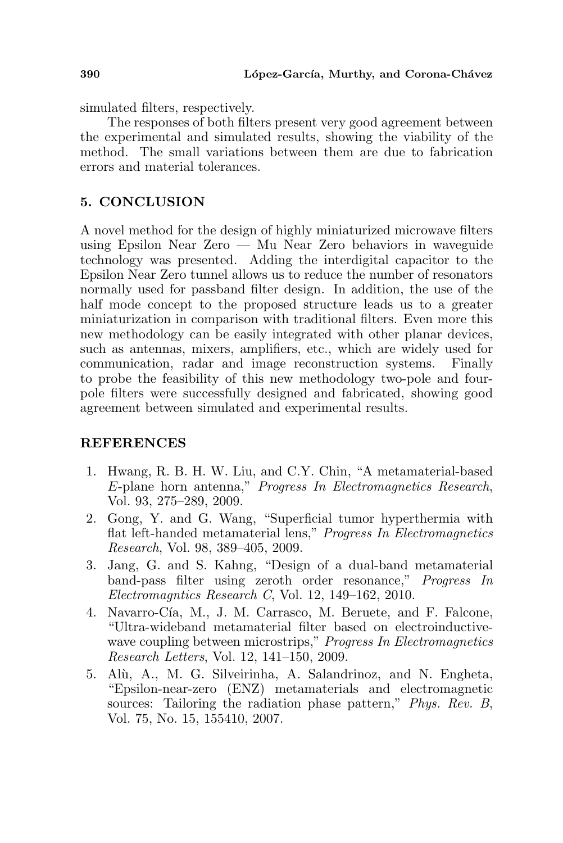simulated filters, respectively.

The responses of both filters present very good agreement between the experimental and simulated results, showing the viability of the method. The small variations between them are due to fabrication errors and material tolerances.

# 5. CONCLUSION

A novel method for the design of highly miniaturized microwave filters using Epsilon Near Zero — Mu Near Zero behaviors in waveguide technology was presented. Adding the interdigital capacitor to the Epsilon Near Zero tunnel allows us to reduce the number of resonators normally used for passband filter design. In addition, the use of the half mode concept to the proposed structure leads us to a greater miniaturization in comparison with traditional filters. Even more this new methodology can be easily integrated with other planar devices, such as antennas, mixers, amplifiers, etc., which are widely used for communication, radar and image reconstruction systems. Finally to probe the feasibility of this new methodology two-pole and fourpole filters were successfully designed and fabricated, showing good agreement between simulated and experimental results.

### REFERENCES

- 1. Hwang, R. B. H. W. Liu, and C.Y. Chin, "A metamaterial-based E-plane horn antenna," Progress In Electromagnetics Research, Vol. 93, 275–289, 2009.
- 2. Gong, Y. and G. Wang, "Superficial tumor hyperthermia with flat left-handed metamaterial lens," Progress In Electromagnetics Research, Vol. 98, 389–405, 2009.
- 3. Jang, G. and S. Kahng, "Design of a dual-band metamaterial band-pass filter using zeroth order resonance," Progress In Electromagntics Research C, Vol. 12, 149–162, 2010.
- 4. Navarro-Cía, M., J. M. Carrasco, M. Beruete, and F. Falcone, "Ultra-wideband metamaterial filter based on electroinductivewave coupling between microstrips," *Progress In Electromagnetics* Research Letters, Vol. 12, 141–150, 2009.
- 5. Alù, A., M. G. Silveirinha, A. Salandrinoz, and N. Engheta, "Epsilon-near-zero (ENZ) metamaterials and electromagnetic sources: Tailoring the radiation phase pattern," *Phys. Rev. B*, Vol. 75, No. 15, 155410, 2007.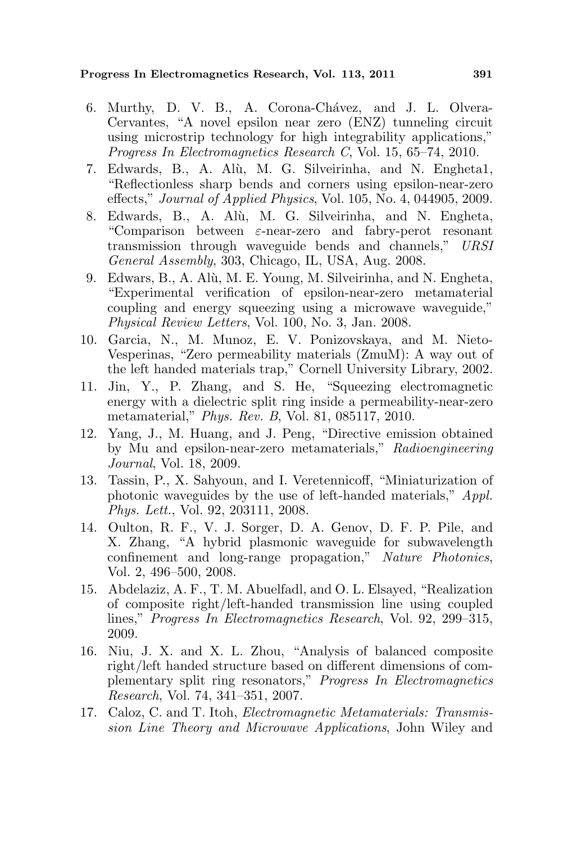#### Progress In Electromagnetics Research, Vol. 113, 2011 391

- 6. Murthy, D. V. B., A. Corona-Chávez, and J. L. Olvera-Cervantes, "A novel epsilon near zero (ENZ) tunneling circuit using microstrip technology for high integrability applications," Progress In Electromagnetics Research C, Vol. 15, 65–74, 2010.
- 7. Edwards, B., A. Al`u, M. G. Silveirinha, and N. Engheta1, "Reflectionless sharp bends and corners using epsilon-near-zero effects," Journal of Applied Physics, Vol. 105, No. 4, 044905, 2009.
- 8. Edwards, B., A. Alù, M. G. Silveirinha, and N. Engheta, "Comparison between ε-near-zero and fabry-perot resonant transmission through waveguide bends and channels," URSI General Assembly, 303, Chicago, IL, USA, Aug. 2008.
- 9. Edwars, B., A. Al`u, M. E. Young, M. Silveirinha, and N. Engheta, "Experimental verification of epsilon-near-zero metamaterial coupling and energy squeezing using a microwave waveguide," Physical Review Letters, Vol. 100, No. 3, Jan. 2008.
- 10. Garcia, N., M. Munoz, E. V. Ponizovskaya, and M. Nieto-Vesperinas, "Zero permeability materials (ZmuM): A way out of the left handed materials trap," Cornell University Library, 2002.
- 11. Jin, Y., P. Zhang, and S. He, "Squeezing electromagnetic energy with a dielectric split ring inside a permeability-near-zero metamaterial," Phys. Rev. B, Vol. 81, 085117, 2010.
- 12. Yang, J., M. Huang, and J. Peng, "Directive emission obtained by Mu and epsilon-near-zero metamaterials," Radioengineering Journal, Vol. 18, 2009.
- 13. Tassin, P., X. Sahyoun, and I. Veretennicoff, "Miniaturization of photonic waveguides by the use of left-handed materials," Appl. Phys. Lett., Vol. 92, 203111, 2008.
- 14. Oulton, R. F., V. J. Sorger, D. A. Genov, D. F. P. Pile, and X. Zhang, "A hybrid plasmonic waveguide for subwavelength confinement and long-range propagation," Nature Photonics, Vol. 2, 496–500, 2008.
- 15. Abdelaziz, A. F., T. M. Abuelfadl, and O. L. Elsayed, "Realization of composite right/left-handed transmission line using coupled lines," Progress In Electromagnetics Research, Vol. 92, 299–315, 2009.
- 16. Niu, J. X. and X. L. Zhou, "Analysis of balanced composite right/left handed structure based on different dimensions of complementary split ring resonators," Progress In Electromagnetics Research, Vol. 74, 341–351, 2007.
- 17. Caloz, C. and T. Itoh, Electromagnetic Metamaterials: Transmission Line Theory and Microwave Applications, John Wiley and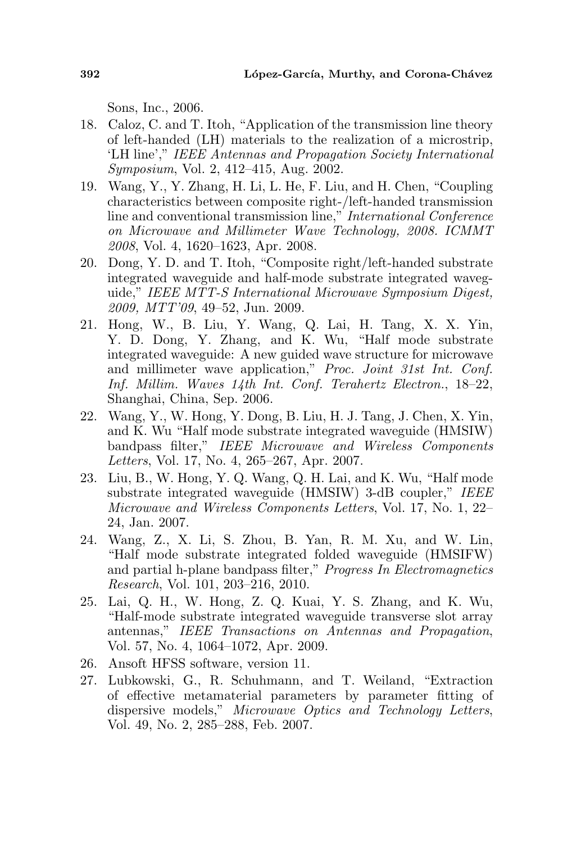Sons, Inc., 2006.

- 18. Caloz, C. and T. Itoh, "Application of the transmission line theory of left-handed (LH) materials to the realization of a microstrip, 'LH line'," IEEE Antennas and Propagation Society International Symposium, Vol. 2, 412–415, Aug. 2002.
- 19. Wang, Y., Y. Zhang, H. Li, L. He, F. Liu, and H. Chen, "Coupling characteristics between composite right-/left-handed transmission line and conventional transmission line," International Conference on Microwave and Millimeter Wave Technology, 2008. ICMMT 2008, Vol. 4, 1620–1623, Apr. 2008.
- 20. Dong, Y. D. and T. Itoh, "Composite right/left-handed substrate integrated waveguide and half-mode substrate integrated waveguide," IEEE MTT-S International Microwave Symposium Digest, 2009, MTT'09, 49–52, Jun. 2009.
- 21. Hong, W., B. Liu, Y. Wang, Q. Lai, H. Tang, X. X. Yin, Y. D. Dong, Y. Zhang, and K. Wu, "Half mode substrate integrated waveguide: A new guided wave structure for microwave and millimeter wave application," Proc. Joint 31st Int. Conf. Inf. Millim. Waves 14th Int. Conf. Terahertz Electron., 18–22, Shanghai, China, Sep. 2006.
- 22. Wang, Y., W. Hong, Y. Dong, B. Liu, H. J. Tang, J. Chen, X. Yin, and K. Wu "Half mode substrate integrated waveguide (HMSIW) bandpass filter," IEEE Microwave and Wireless Components Letters, Vol. 17, No. 4, 265–267, Apr. 2007.
- 23. Liu, B., W. Hong, Y. Q. Wang, Q. H. Lai, and K. Wu, "Half mode substrate integrated waveguide (HMSIW) 3-dB coupler," IEEE Microwave and Wireless Components Letters, Vol. 17, No. 1, 22– 24, Jan. 2007.
- 24. Wang, Z., X. Li, S. Zhou, B. Yan, R. M. Xu, and W. Lin, "Half mode substrate integrated folded waveguide (HMSIFW) and partial h-plane bandpass filter," Progress In Electromagnetics Research, Vol. 101, 203–216, 2010.
- 25. Lai, Q. H., W. Hong, Z. Q. Kuai, Y. S. Zhang, and K. Wu, "Half-mode substrate integrated waveguide transverse slot array antennas," IEEE Transactions on Antennas and Propagation, Vol. 57, No. 4, 1064–1072, Apr. 2009.
- 26. Ansoft HFSS software, version 11.
- 27. Lubkowski, G., R. Schuhmann, and T. Weiland, "Extraction of effective metamaterial parameters by parameter fitting of dispersive models," Microwave Optics and Technology Letters, Vol. 49, No. 2, 285–288, Feb. 2007.